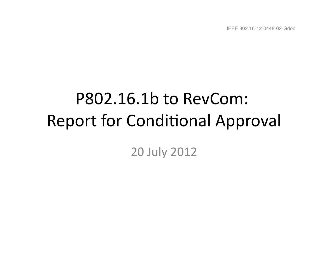IEEE 802.16-12-0448-02-Gdoc

# P802.16.1b to RevCom: Report for Conditional Approval

## 20 July 2012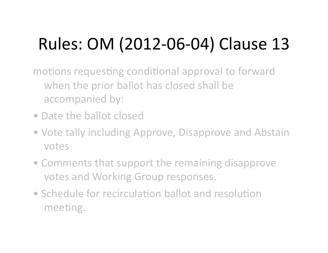# Rules: OM (2012-06-04) Clause 13

motions requesting conditional approval to forward when the prior ballot has closed shall be accompanied by:

- Date the ballot closed
- Vote tally including Approve, Disapprove and Abstain votes
- Comments that support the remaining disapprove votes and Working Group responses.
- Schedule for recirculation ballot and resolution meeting.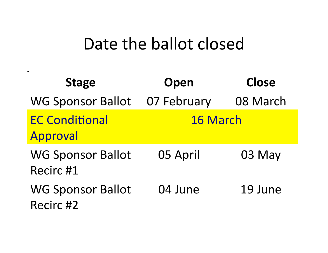## Date the ballot closed

 $\mathcal{D}^{\mathbf{r}}$ 

| <b>Stage</b>                          | Open            | <b>Close</b> |
|---------------------------------------|-----------------|--------------|
| <b>WG Sponsor Ballot</b>              | 07 February     | 08 March     |
| <b>EC Conditional</b><br>Approval     | <b>16 March</b> |              |
| <b>WG Sponsor Ballot</b><br>Recirc #1 | 05 April        | 03 May       |
| <b>WG Sponsor Ballot</b><br>Recirc #2 | 04 June         | 19 June      |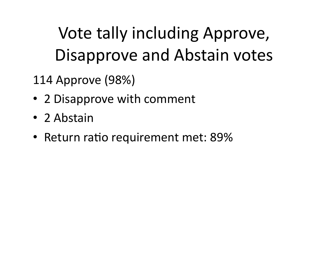# Vote tally including Approve, Disapprove and Abstain votes

114 Approve (98%) 

- 2 Disapprove with comment
- 2 Abstain
- Return ratio requirement met: 89%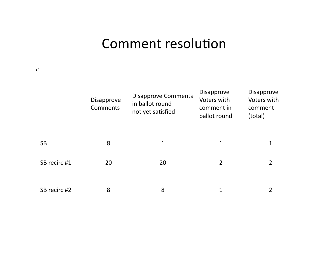## Comment resolution

 $\mathcal{D}^{\mathcal{C}}$ 

|              | <b>Disapprove</b><br>Comments | <b>Disapprove Comments</b><br>in ballot round<br>not yet satisfied | <b>Disapprove</b><br>Voters with<br>comment in<br>ballot round | Disapprove<br>Voters with<br>comment<br>(total) |
|--------------|-------------------------------|--------------------------------------------------------------------|----------------------------------------------------------------|-------------------------------------------------|
| <b>SB</b>    | 8                             | $\mathbf 1$                                                        | 1                                                              |                                                 |
| SB recirc #1 | 20                            | 20                                                                 | $\overline{2}$                                                 | 2                                               |
| SB recirc #2 | 8                             | 8                                                                  | 1                                                              |                                                 |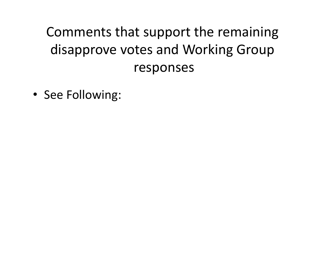## Comments that support the remaining disapprove votes and Working Group responses

• See Following: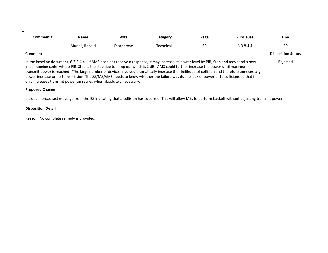| _ |  |
|---|--|
|   |  |

| Comment #      | <b>Name</b>    | <b>Vote</b>       | Category  | Page | <b>Subclause</b> | Line                      |
|----------------|----------------|-------------------|-----------|------|------------------|---------------------------|
| 1- L           | Murias, Ronald | <b>Disapprove</b> | Technical | 69   | 6.3.8.4.4        | 50                        |
| <b>Comment</b> |                |                   |           |      |                  | <b>Disposition Status</b> |

Rejected 

In the baseline document, 6.3.8.4.4, "If AMS does not receive a response, it may increase its power level by PIR, Step and may send a new initial ranging code, where PIR, Step is the step size to ramp up, which is 2 dB. AMS could further increase the power until maximum transmit power is reached. "The large number of devices involved dramatically increase the likelihood of collision and therefore unnecessary power increase on re-transmission. The SS/MS/AMS needs to know whether the failure was due to lack of power or to collisions so that it only increases transmit power on retries when absolutely necessary.

#### **Proposed Change**

Include a broadcast message from the BS indicating that a collision has occurred. This will allow MSs to perform backoff without adjusting transmit power.

#### **Disposition Detail**

Reason: No complete remedy is provided.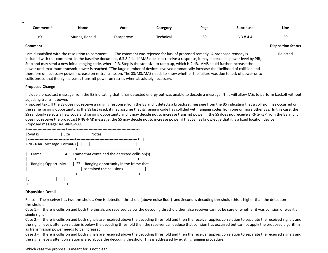| Comment # | Name<br>___    | <b>Vote</b> | Category  | Page | Subclause | Line     |
|-----------|----------------|-------------|-----------|------|-----------|----------|
| $r01-1$   | Murias, Ronald | Disapprove  | Technical | 69   | 5.3.8.4.4 | ς∩<br>JU |

Rejected 

#### **Comment Disposition Status**

 $\mathcal{D}^{\bullet}$ 

I am dissatisfied with the resolution to comment i-1. The comment was rejected for lack of proposed remedy. A proposed remedy is included with this comment. In the baseline document, 6.3.8.4.4, "If AMS does not receive a response, it may increase its power level by PIR, Step and may send a new initial ranging code, where PIR, Step is the step size to ramp up, which is 2 dB. AMS could further increase the power until maximum transmit power is reached. "The large number of devices involved dramatically increase the likelihood of collision and therefore unnecessary power increase on re-transmission. The SS/MS/AMS needs to know whether the failure was due to lack of power or to collisions so that it only increases transmit power on retries when absolutely necessary.

#### **Proposed Change**

Include a broadcast message from the BS indicating that it has detected energy but was unable to decode a message. This will allow MSs to perform backoff without adjusting transmit power.

Proposed text: If the SS does not receive a ranging response from the BS and it detects a broadcast message from the BS indicating that a collision has occurred on the same ranging opportunity as the SS last used, it may assume that its ranging code has collided with ranging codes from one or more other SSs. In this case, the SS randomly selects a new code and ranging opportunity and it may decide not to increase transmit power. If the SS does not receive a RNG-RSP from the BS and it does not receive the broadcast RNG-NAK message, the SS may decide not to increase power if that SS has knowledge that it is a fixed location device. Proposed message: AAI-RNG-NAK

| Syntax                             | l Size I                                                                                         | <b>Notes</b>                                                     |  |  |
|------------------------------------|--------------------------------------------------------------------------------------------------|------------------------------------------------------------------|--|--|
| RNG-NAK Message Format() $\{$ $\ $ |                                                                                                  |                                                                  |  |  |
| Frame                              |                                                                                                  | $\vert$ 4 Frame that contained the detected collision(s) $\vert$ |  |  |
|                                    | Ranging Opportunity $\begin{bmatrix} ? \\ ? \end{bmatrix}$ Ranging opportunity in the frame that | contained the collisions                                         |  |  |
| --------------                     |                                                                                                  |                                                                  |  |  |

#### **Disposition Detail**

Reason: The receiver has two thresholds. One is detection threshold (above noise floor) and Second is decoding threshold (this is higher than the detection threshold). 

Case 1:- If there is collision and both the signals are received below the decoding threshold then also receiver cannot be sure of whether it was collision or was it a single signal

Case 2:- If there is collision and both signals are received above the decoding threshold and then the receiver applies correlation to separate the received signals and the signal levels after correlation is below the decoding threshold then the receiver can deduce that collision has occurred but cannot apply the proposed algorithm as transmission power needs to be increased

Case 3:- If there is collision and both signals are received above the decoding threshold and then the receiver applies correlation to separate the received signals and the signal levels after correlation is also above the decoding threshold. This is addressed by existing ranging procedure.

Which case the proposal is meant for is not clear.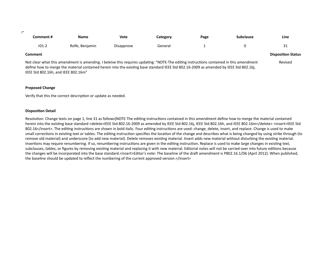| _ |  |
|---|--|

| Comment # | <b>Name</b>     | <b>Vote</b> | Category | Page | <b>Subclause</b> | Line        |
|-----------|-----------------|-------------|----------|------|------------------|-------------|
| $r01-2$   | Rolfe, Benjamin | Disapprove  | General  |      |                  | $\sim$<br>ັ |

#### **Comment Disposition Status**

Not clear what this amendment is amending. I beleive this requires updating: "NOTE-The editing instructions contained in this amendment define how to merge the material contained herein into the existing base standard IEEE Std 802.16-2009 as amended by IEEE Std 802.16j, IEEE Std 802.16h, and IEEE 802.16m" Revised 

#### **Proposed Change**

Verify that this the correct description or update as needed.

#### **Disposition Detail**

Resolution: Change texts on page 1, line 31 as follows]NOTE-The editing instructions contained in this amendment define how to merge the material contained herein into the existing base standard <delete>IEEE Std 802.16-2009 as amended by IEEE Std 802.16j, IEEE Std 802.16h, and IEEE 802.16m</delete><insert>IEEE Std 802.16</insert>. The editing instructions are shown in bold italic. Four editing instructions are used: change, delete, insert, and replace. Change is used to make small corrections in existing text or tables. The editing instruction specifies the location of the change and describes what is being changed by using strike through (to remove old material) and underscore (to add new material). Delete removes existing material. Insert adds new material without disturbing the existing material. Insertions may require renumbering. If so, renumbering instructions are given in the editing instruction. Replace is used to make large changes in existing text, subclauses, tables, or figures by removing existing material and replacing it with new material. Editorial notes will not be carried over into future editions because the changes will be incorporated into the base standard.<insert>Editor's note: The baseline of the draft amendment is P802.16.1/D6 (April 2012). When published, the baseline should be updated to reflect the numbering of the current approved version.</insert>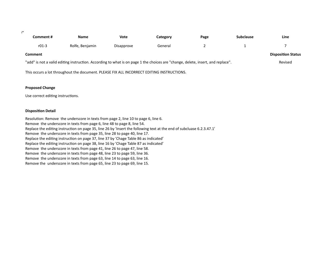$\mathcal{D}^{\mathcal{C}}$ 

| Comment #                                                                                                                       | Name            | Vote       | Category | Page | <b>Subclause</b> | Line |  |
|---------------------------------------------------------------------------------------------------------------------------------|-----------------|------------|----------|------|------------------|------|--|
| $r01-3$                                                                                                                         | Rolfe, Benjamin | Disapprove | General  |      |                  |      |  |
| <b>Comment</b>                                                                                                                  |                 |            |          |      |                  |      |  |
| "add" is not a valid editing instruction. According to what is on page 1 the choices are "change, delete, insert, and replace". |                 |            |          |      |                  |      |  |

This occurs a lot throughout the document. PLEASE FIX ALL INCORRECT EDITING INSTRUCTIONS.

#### **Proposed Change**

Use correct editing instructions.

#### **Disposition Detail**

Resolution: Remove the underscore in texts from page 2, line 10 to page 6, line 6. Remove the underscore in texts from page 6, line 48 to page 8, line 54. Replace the editing instruction on page 35, line 26 by 'Insert the following text at the end of subcluase 6.2.3.47.1' Remove the underscore in texts from page 35, line 28 to page 40, line 17. Replace the editing instruction on page 37, line 37 by 'Chage Table 86 as indicated' Replace the editing instruction on page 38, line 16 by 'Chage Table 87 as indicated' Remove the underscore in texts from page 41, line 26 to page 47, line 58. Remove the underscore in texts from page 48, line 23 to page 59, line 36. Remove the underscore in texts from page 63, line 14 to page 63, line 16. Remove the underscore in texts from page 65, line 23 to page 69, line 15.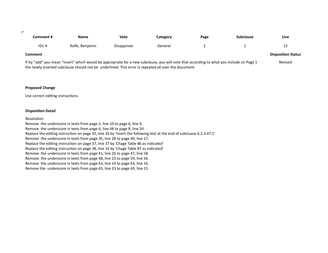$\mathbb{P}^1$ 

| Comment #      | <b>Name</b>     | <b>Vote</b> | Category | Page | <b>Subclause</b> | Line                      |
|----------------|-----------------|-------------|----------|------|------------------|---------------------------|
| $r01-4$        | Rolfe, Benjamin | Disapprove  | General  |      |                  | ⊥∠                        |
| <b>Comment</b> |                 |             |          |      |                  | <b>Disposition Status</b> |

If by "add" you mean "insert" which would be appropriate for a new subclause, you will note that according to what you include on Page 1 the newly inserted subclause should not be underlined. This error is repeated all over the document. Revised

#### **Proposed Change**

Use correct editing instructions.

#### **Disposition Detail**

Resolution:

Remove the underscore in texts from page 2, line 10 to page 6, line 6. Remove the underscore in texts from page 6, line 48 to page 8, line 54. Replace the editing instruction on page 35, line 26 by 'Insert the following text at the end of subcluase 6.2.3.47.1' Remove the underscore in texts from page 35, line 28 to page 40, line 17. Replace the editing instruction on page 37, line 37 by 'Chage Table 86 as indicated' Replace the editing instruction on page 38, line 16 by 'Chage Table 87 as indicated' Remove the underscore in texts from page 41, line 26 to page 47, line 58. Remove the underscore in texts from page 48, line 23 to page 59, line 36. Remove the underscore in texts from page 63, line 14 to page 63, line 16. Remove the underscore in texts from page 65, line 23 to page 69, line 15.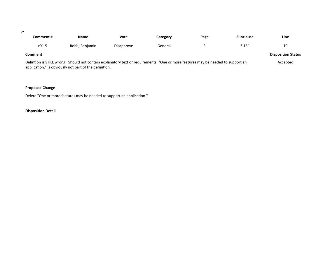#### $\mathcal{D}^{\mathbf{r}}$

| Comment #                                                                                                                        | <b>Name</b>     | Vote       | Categorv | Page | <b>Subclause</b> | Line                      |
|----------------------------------------------------------------------------------------------------------------------------------|-----------------|------------|----------|------|------------------|---------------------------|
| $r01-5$                                                                                                                          | Rolfe, Benjamin | Disapprove | General  |      | 3.151            | 19                        |
| Comment                                                                                                                          |                 |            |          |      |                  | <b>Disposition Status</b> |
| Defintion is STILL wrong. Should not contain explanatory text or requirements. "One or more features may be needed to support an |                 |            |          |      |                  |                           |

application." is obviously not part of the definition.

### **Proposed Change**

Delete "One or more features may be needed to support an application."

### **Disposition Detail**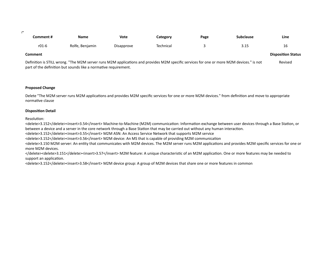21

| Comment # | <b>Name</b>     | <b>Vote</b> | Category  | Page | Subclause            | . .<br>Line |
|-----------|-----------------|-------------|-----------|------|----------------------|-------------|
| r01-6     | Rolfe, Benjamin | Disapprove  | Technical |      | <b>COM</b><br>ر ۲۰ د | ∸           |

#### **Comment Disposition Status**

Definition is STILL wrong. "The M2M server runs M2M applications and provides M2M specific services for one or more M2M devices." is not part of the definition but sounds like a normative requirement. Revised

#### **Proposed Change**

Delete "The M2M server runs M2M applications and provides M2M specific services for one or more M2M devices." from definition and move to appropriate normative clause

#### **Disposition Detail**

Resolution:

<delete>3.152</delete><insert>3.54</insert> Machine-to-Machine (M2M) communication: Information exchange between user devices through a Base Station, or between a device and a server in the core network through a Base Station that may be carried out without any human interaction.

<delete>3.152</delete><insert>3.55</insert> M2M ASN: An Access Service Network that supports M2M service

<delete>3.152</delete><insert>3.56</insert> M2M device: An MS that is capable of providing M2M communication

<delete>3.150 M2M server: An entity that communicates with M2M devices. The M2M server runs M2M applications and provides M2M specific services for one or more M2M devices.

</delete><delete>3.151</delete><insert>3.57</insert> M2M feature: A unique characteristic of an M2M application. One or more features may be needed to support an application.

<delete>3.152</delete><insert>3.58</insert> M2M device group: A group of M2M devices that share one or more features in common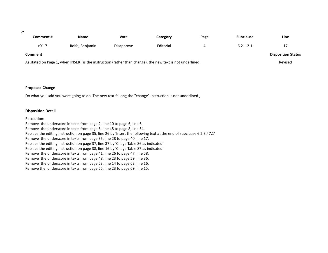$\mathbb{P}^1$ 

| Comment #      | <b>Name</b>                                                                                               | Vote       | Category  | Page | <b>Subclause</b> | Line                      |
|----------------|-----------------------------------------------------------------------------------------------------------|------------|-----------|------|------------------|---------------------------|
| $r01-7$        | Rolfe, Benjamin                                                                                           | Disapprove | Editorial | 4    | 6.2.1.2.1        | 17                        |
| <b>Comment</b> |                                                                                                           |            |           |      |                  | <b>Disposition Status</b> |
|                | As stated on Page 1, when INSERT is the instruction (rather than change), the new text is not underlined. |            |           |      |                  | Revised                   |

#### **Proposed Change**

Do what you said you were going to do. The new text fallong the "change" instruction is not underlined.,

#### **Disposition Detail**

#### Resolution:

Remove the underscore in texts from page 2, line 10 to page 6, line 6. Remove the underscore in texts from page 6, line 48 to page 8, line 54. Replace the editing instruction on page 35, line 26 by 'Insert the following text at the end of subcluase 6.2.3.47.1' Remove the underscore in texts from page 35, line 28 to page 40, line 17. Replace the editing instruction on page 37, line 37 by 'Chage Table 86 as indicated' Replace the editing instruction on page 38, line 16 by 'Chage Table 87 as indicated' Remove the underscore in texts from page 41, line 26 to page 47, line 58. Remove the underscore in texts from page 48, line 23 to page 59, line 36. Remove the underscore in texts from page 63, line 14 to page 63, line 16. Remove the underscore in texts from page 65, line 23 to page 69, line 15.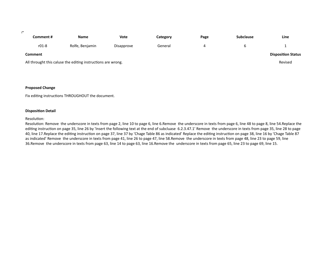#### $\mathbb{P}^1$

| Comment #      | Name                                                         | Vote       | Category | Page | <b>Subclause</b> | Line                      |
|----------------|--------------------------------------------------------------|------------|----------|------|------------------|---------------------------|
| $r01-8$        | Rolfe, Benjamin                                              | Disapprove | General  |      | ь                | -                         |
| <b>Comment</b> |                                                              |            |          |      |                  | <b>Disposition Status</b> |
|                | All throught this caluse the editing instructions are wrong. |            |          |      |                  | Revised                   |
|                |                                                              |            |          |      |                  |                           |

#### **Proposed Change**

Fix editing instructions THROUGHOUT the document.

#### **Disposition Detail**

#### Resolution:

Resolution: Remove the underscore in texts from page 2, line 10 to page 6, line 6.Remove the underscore in texts from page 6, line 48 to page 8, line 54.Replace the editing instruction on page 35, line 26 by 'Insert the following text at the end of subcluase 6.2.3.47.1' Remove the underscore in texts from page 35, line 28 to page 40, line 17. Replace the editing instruction on page 37, line 37 by 'Chage Table 86 as indicated' Replace the editing instruction on page 38, line 16 by 'Chage Table 87 as indicated' Remove the underscore in texts from page 41, line 26 to page 47, line 58.Remove the underscore in texts from page 48, line 23 to page 59, line 36.Remove the underscore in texts from page 63, line 14 to page 63, line 16.Remove the underscore in texts from page 65, line 23 to page 69, line 15.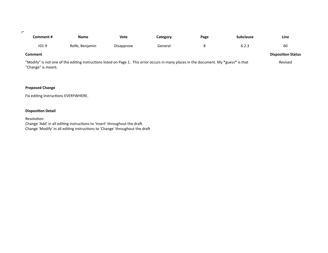$\mathcal{F}^{\mathcal{C}}$ 

| Comment #      | <b>Name</b>     | <b>Vote</b> | Category | Page          | <b>Subclause</b> | Line                      |
|----------------|-----------------|-------------|----------|---------------|------------------|---------------------------|
| $r01-9$        | Rolfe, Benjamin | Disapprove  | General  |               | 6.2.3            | 60                        |
| <b>Comment</b> |                 |             |          |               |                  | <b>Disposition Status</b> |
|                | $\sim$ $\sim$   |             |          | $\sim$ $\sim$ | .                |                           |

"Modify" is not one of the editing instructions listed on Page 1. This error occurs in many places in the document. My \*guess\* is that "Change" is meant. Revised

#### **Proposed Change**

Fix editing instructions EVERYWHERE.

#### **Disposition Detail**

Resolution: Change 'Add' in all editing instructions to 'Insert' throughout the draft. Change 'Modify' in all editing instructions to 'Change' throughout the draft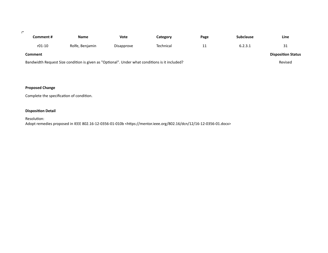| _ |  |
|---|--|
|   |  |

| Comment # | Name                                                                                           | Vote       | Category  | Page | <b>Subclause</b> | Line                      |
|-----------|------------------------------------------------------------------------------------------------|------------|-----------|------|------------------|---------------------------|
| $r01-10$  | Rolfe, Benjamin                                                                                | Disapprove | Technical | 11   | 6.2.3.1          | 31                        |
| Comment   |                                                                                                |            |           |      |                  | <b>Disposition Status</b> |
|           | Bandwidth Request Size condition is given as "Optional". Under what conditions is it included? |            |           |      |                  | Revised                   |

### **Proposed Change**

Complete the specification of condition.

### **Disposition Detail**

Resolution: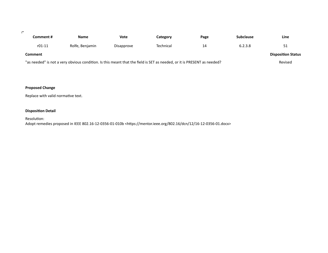$\mathcal{D}^{\mathbf{r}}$ 

| Comment #      | Name                                                                                                                    | Vote       | Category  | Page | <b>Subclause</b> | Line                      |
|----------------|-------------------------------------------------------------------------------------------------------------------------|------------|-----------|------|------------------|---------------------------|
| $r01-11$       | Rolfe, Benjamin                                                                                                         | Disapprove | Technical | 14   | 6.2.3.8          | 51                        |
| <b>Comment</b> |                                                                                                                         |            |           |      |                  | <b>Disposition Status</b> |
|                | "as needed" is not a very obvious condition. Is this meant that the field is SET as needed, or it is PRESENT as needed? |            |           |      |                  | Revised                   |

### **Proposed Change**

Replace with valid normative text.

### **Disposition Detail**

Resolution: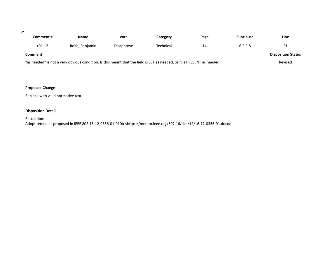$\mathcal{D}^{\mathbf{r}}$ 

| Comment #      | Name                                                                                                                    | Vote       | Category  | Page | <b>Subclause</b> | Line                      |
|----------------|-------------------------------------------------------------------------------------------------------------------------|------------|-----------|------|------------------|---------------------------|
| $r01-12$       | Rolfe, Benjamin                                                                                                         | Disapprove | Technical | 14   | 6.2.3.8          | 51                        |
| <b>Comment</b> |                                                                                                                         |            |           |      |                  | <b>Disposition Status</b> |
|                | "as needed" is not a very obvious condition. Is this meant that the field is SET as needed, or it is PRESENT as needed? |            |           |      |                  | Revised                   |

### **Proposed Change**

Replace with valid normative text.

### **Disposition Detail**

Resolution: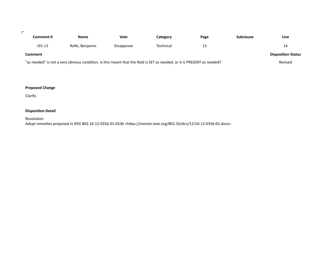$\mathcal{D}^{\mathcal{C}}$ 

| Comment #      | Name                                                                                                                    | Vote       | Category  | Page | <b>Subclause</b> | Line                      |
|----------------|-------------------------------------------------------------------------------------------------------------------------|------------|-----------|------|------------------|---------------------------|
| $r01-13$       | Rolfe, Benjamin                                                                                                         | Disapprove | Technical |      |                  | 14                        |
| <b>Comment</b> |                                                                                                                         |            |           |      |                  | <b>Disposition Status</b> |
|                | "as needed" is not a very obvious condition. Is this meant that the field is SET as needed, or it is PRESENT as needed? |            |           |      |                  | Revised                   |

### **Proposed Change**

Clarify

### **Disposition Detail**

Resolution: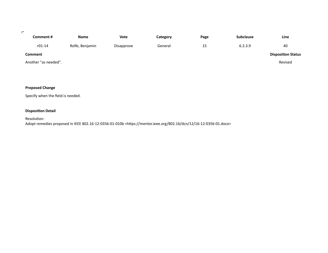#### $\mathcal{D}^{\mathbf{r}}$

| Comment #            | <b>Name</b>     | <b>Vote</b> | Category | Page    | <b>Subclause</b> | Line                      |
|----------------------|-----------------|-------------|----------|---------|------------------|---------------------------|
| $r01-14$             | Rolfe, Benjamin | Disapprove  | General  | 15<br>ᅩ | 6.2.3.9          | 40                        |
| Comment              |                 |             |          |         |                  | <b>Disposition Status</b> |
| Another "as needed". |                 |             |          |         |                  | Revised                   |

### **Proposed Change**

Specify when the field is needed.

### **Disposition Detail**

Resolution: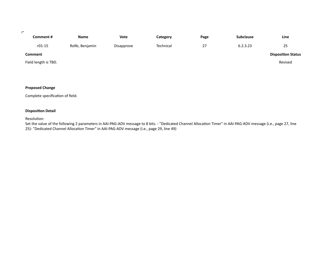#### $\mathcal{F}^{\mathcal{C}}$

| Comment #            | <b>Name</b>     | <b>Vote</b> | Category  | Page | <b>Subclause</b> | Line                      |
|----------------------|-----------------|-------------|-----------|------|------------------|---------------------------|
| $r01-15$             | Rolfe, Benjamin | Disapprove  | Technical | 27   | 6.2.3.23         | 25                        |
| Comment              |                 |             |           |      |                  | <b>Disposition Status</b> |
| Field length is TBD. |                 |             |           |      |                  | Revised                   |

#### **Proposed Change**

Complete specification of field.

#### **Disposition Detail**

Resolution:

Set the value of the following 2 parameters in AAI-PAG-ADV message to 8 bits. - "Dedicated Channel Allocation Timer" in AAI-PAG-ADV message (i.e., page 27, line 25)- "Dedicated Channel Allocation Timer" in AAI-PAG-ADV message (i.e., page 29, line 49)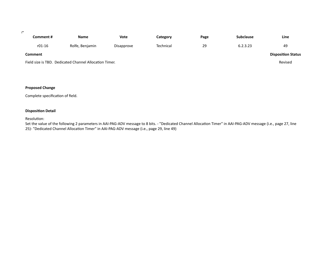#### $\mathcal{F}^{\mathcal{C}}$

| Comment #      | <b>Name</b>                                            | Vote       | Category  | Page | <b>Subclause</b> | Line                      |
|----------------|--------------------------------------------------------|------------|-----------|------|------------------|---------------------------|
| $r01-16$       | Rolfe, Benjamin                                        | Disapprove | Technical | 29   | 6.2.3.23         | 49                        |
| <b>Comment</b> |                                                        |            |           |      |                  | <b>Disposition Status</b> |
|                | Field size is TBD. Dedicated Channel Allocation Timer. |            |           |      |                  | Revised                   |

#### **Proposed Change**

Complete specification of field.

#### **Disposition Detail**

Resolution:

Set the value of the following 2 parameters in AAI-PAG-ADV message to 8 bits. - "Dedicated Channel Allocation Timer" in AAI-PAG-ADV message (i.e., page 27, line 25)- "Dedicated Channel Allocation Timer" in AAI-PAG-ADV message (i.e., page 29, line 49)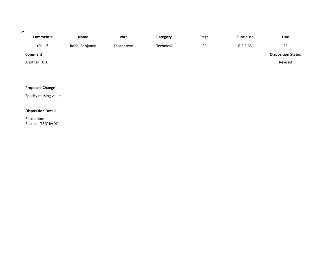#### $\mathcal{D}^{\mathcal{C}}$

| Comment #    | <b>Name</b>     | Vote       | Category  | Page | <b>Subclause</b> | Line                      |
|--------------|-----------------|------------|-----------|------|------------------|---------------------------|
| $r01-17$     | Rolfe, Benjamin | Disapprove | Technical | 39   | 6.2.3.65         | 62                        |
| Comment      |                 |            |           |      |                  | <b>Disposition Status</b> |
| Another TBD. |                 |            |           |      |                  | Revised                   |

## **Proposed Change**

Specify missing value.

### **Disposition Detail**

Resolution: Replace 'TBD' by '4'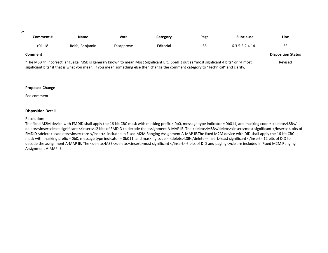| _ |  |
|---|--|
|   |  |

| Comment # | <b>Name</b>     | Vote       | Category  | Page | <b>Subclause</b> | Line                      |
|-----------|-----------------|------------|-----------|------|------------------|---------------------------|
| $r01-18$  | Rolfe, Benjamin | Disapprove | Editorial | 65   | 6.3.5.5.2.4.14.1 | 33                        |
| Comment   |                 |            |           |      |                  | <b>Disposition Status</b> |

"The MSB 4" incorrect language. MSB is generaly known to mean Most Significant Bit. Spell it out as "most signficant 4 bits" or "4 most signficiant bits" if that is what you mean. If you mean something else then change the comment category to "Technical" and clarify, Revised 

#### **Proposed Change**

See comment 

#### **Disposition Detail**

#### Resolution:

The fixed M2M device with FMDID shall apply the 16-bit CRC mask with masking prefix = 0b0, message type indicator = 0b011, and masking code = <delete>LSB</ delete><insert>least significant </insert>12 bits of FMDID to decode the assignment A-MAP IE. The <delete>MSB</delete><insert>most significant </insert> 4 bits of FMDID <delete>is<delete><insert>are </insert> included in Fixed M2M Ranging Assignment A-MAP IE.The fixed M2M device with DID shall apply the 16-bit CRC mask with masking prefix = 0b0, message type indicator = 0b011, and masking code = <delete>LSB</delete><insert>least significant </insert> 12 bits of DID to decode the assignment A-MAP IE. The <delete>MSB</delete><insert>most significant </insert> 6 bits of DID and paging cycle are included in Fixed M2M Ranging Assignment A-MAP IE.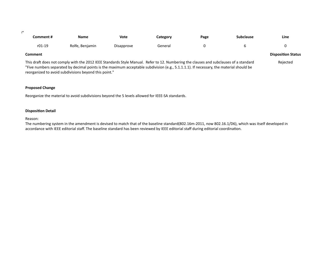$\mathbb{P}^1$ 

| Comment # | <b>Name</b>     | <b>Vote</b> | Category | Page | <b>Subclause</b> | Line                      |
|-----------|-----------------|-------------|----------|------|------------------|---------------------------|
| $r01-19$  | Rolfe, Benjamin | Disapprove  | General  |      |                  |                           |
| Comment   |                 |             |          |      |                  | <b>Disposition Status</b> |

This draft does not comply with the 2012 IEEE Standards Style Manual. Refer to 12. Numbering the clauses and subclauses of a standard "Five numbers separated by decimal points is the maximum acceptable subdivision (e.g., 5.1.1.1.1). If necessary, the material should be reorganized to avoid subdivisions beyond this point." Rejected 

#### **Proposed Change**

Reorganize the material to avoid subdivisions beyond the 5 levels allowed for IEEE-SA standards.

#### **Disposition Detail**

Reason: 

The numbering system in the amendment is devised to match that of the baseline standard(802.16m-2011, now 802.16.1/D6), which was itself developed in accordance with IEEE editorial staff. The baseline standard has been reviewed by IEEE editorial staff during editorial coordination.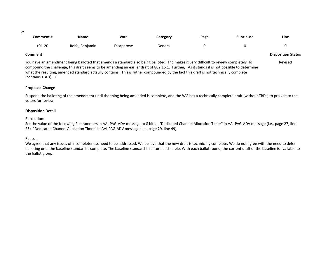| _ |  |
|---|--|
|   |  |

| Comment # | <b>Name</b>     | Vote       | Category | Page | <b>Subclause</b> | Line |
|-----------|-----------------|------------|----------|------|------------------|------|
| r01-20    | Rolfe, Benjamin | Disapprove | General  |      |                  |      |

#### **Comment Disposition Status**

You have an amendment being balloted that amends a standard also being balloted. Thd makes it very difficult to review completely. To compound the challenge, this draft seems to be amending an earlier draft of 802.16.1. Further, As it stands it is not possible to determine what the resulting, amended standard actaully contains. This is futher compounded by the fact this draft is not technically complete (contains TBDs). T Revised 

#### **Proposed Change**

Suspend the balloting of the amendment until the thing being amended is complete, and the WG has a technically complete draft (without TBDs) to proivde to the voters for review.

#### **Disposition Detail**

#### Resolution:

Set the value of the following 2 parameters in AAI-PAG-ADV message to 8 bits. - "Dedicated Channel Allocation Timer" in AAI-PAG-ADV message (i.e., page 27, line 25)- "Dedicated Channel Allocation Timer" in AAI-PAG-ADV message (i.e., page 29, line 49)

#### Reason:

We agree that any issues of incompleteness need to be addressed. We believe that the new draft is technically complete. We do not agree with the need to defer balloting until the baseline standard is complete. The baseline standard is mature and stable. With each ballot round, the current draft of the baseline is available to the ballot group.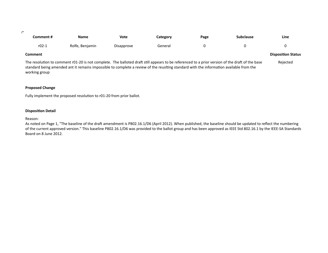| _ |  |
|---|--|
|   |  |

| Comment # | <b>Name</b>     | <b>Vote</b> | <b>Category</b> | Page | <b>Subclause</b> | Line<br>$\sim$ |
|-----------|-----------------|-------------|-----------------|------|------------------|----------------|
| $r02-1$   | Rolfe, Benjamin | Disapprove  | General         |      |                  |                |

#### **Comment Disposition Status Disposition Status**

The resolution to comment r01-20 is not complete. The balloted draft still appears to be referenced to a prior version of the draft of the base standard being amended ant it remains impossible to complete a review of the reuslting standard with the information available from the working group Rejected 

#### **Proposed Change**

Fully implement the proposed resolution to r01-20 from prior ballot.

#### **Disposition Detail**

Reason: 

As noted on Page 1, "The baseline of the draft amendment is P802.16.1/D6 (April 2012). When published, the baseline should be updated to reflect the numbering of the current approved version." This baseline P802.16.1/D6 was provided to the ballot group and has been approved as IEEE Std 802.16.1 by the IEEE-SA Standards Board on 8 June 2012.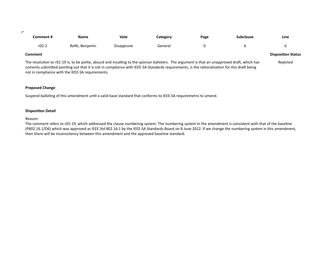| _ |  |  |
|---|--|--|
|   |  |  |

| Comment # | <b>Name</b>     | <b>Vote</b> | Category | Page | <b>Subclause</b> | Line |
|-----------|-----------------|-------------|----------|------|------------------|------|
| $r02-2$   | Rolfe, Benjamin | Disapprove  | General  |      |                  |      |

#### **Comment Disposition Status Disposition Status**

The resolution to r01-19 is, to be polite, absurd and insulting to the sponsor balloters. The argument is that an unapproved draft, which has coments submitted pointing out that it is not in compliance with IEEE-SA Standards requirements, is the rationalization for this draft being not in compliance with the IEEE-SA requirements. Rejected 

#### **Proposed Change**

Suspend balloting of this amendment until a valid base standard that conforms to IEEE-SA requiremetns to amend.

#### **Disposition Detail**

#### Reason:

The comment refers to r01-19, which addressed the clause numbering system. The numbering system in the amendment is consistent with that of the baseline (P802.16.1/D6) which was approved as IEEE Std 802.16.1 by the IEEE-SA Standards Board on 8 June 2012. If we change the numbering system in this amendment, then there will be inconsistency between this amendment and the approved baseline standard.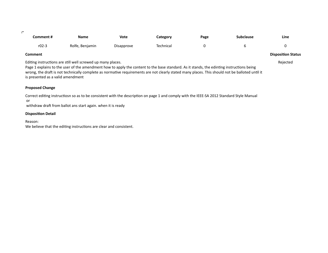| _ |  |  |
|---|--|--|

| Comment # | <b>Name</b>     | <b>Vote</b> | Category  | Page | Subclause | Line<br>$\sim$ |
|-----------|-----------------|-------------|-----------|------|-----------|----------------|
| $r02-3$   | Rolfe, Benjamin | Disapprove  | Technical |      |           |                |

Editing instructions are still well screwed up many places.

Page 1 explains to the user of the amendment how to apply the content to the base standard. As it stands, the edinting instructions being wrong, the draft is not technically complete as normative requirements are not clearly stated many places. This should not be balloted until it is presented as a valid amendment

#### **Proposed Change**

Correct editing instructiosn so as to be consistent with the description on page 1 and comply with the IEEE-SA 2012 Standard Style Manual or

withdraw draft from ballot ans start again. when it is ready

#### **Disposition Detail**

Reason:

We believe that the editing instructions are clear and consistent.

### **Comment Disposition Status**

Rejected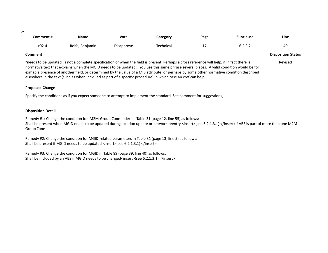| _ |  |
|---|--|
|   |  |

| Comment # | Name            | Vote       | Category  | <b>Page</b> | Subclause                 | Line |
|-----------|-----------------|------------|-----------|-------------|---------------------------|------|
| r02-4     | Rolfe, Benjamin | Disapprove | Technical | $1 -$       | $\epsilon$ ววา<br>∪.∠.∪.∠ | 40   |

**Comment Disposition Status** Revised

"needs to be updated' is not a complete specification of when the field is present. Perhaps a cross reference will help, if in fact there is normative text that explains when the MGID needs to be updated. You use this same phrase several places. A valid condition would be for exmaple presence of another field, or determined by the value of a MIB attribute, or perhaps by some other normative condition described elsewhere in the text (such as when incldued as part of a specific procedure) in which case an xref can help.

#### **Proposed Change**

Specify the conditions as if you expect someone to attempt to implement the standard. See comment for suggestions,.

#### **Disposition Detail**

Remedy #1: Change the condition for 'M2M-Group-Zone-Index' in Table 31 (page 12, line 55) as follows: Shall be present when MGID needs to be updated during location update or network reentry <insert>(see 6.2.1.3.1) </insert>if ABS is part of more than one M2M Group Zone

Remedy #2: Change the condition for MGID-related parameters in Table 31 (page 13, line 5) as follows: Shall be present if MGID needs to be updated <insert>(see 6.2.1.3.1) </insert>

Remedy #3: Change the condition for MGID in Table 89 (page 39, line 40) as follows: Shall be included by an ABS if MGID needs to be changed<insert>(see 6.2.1.3.1) </insert>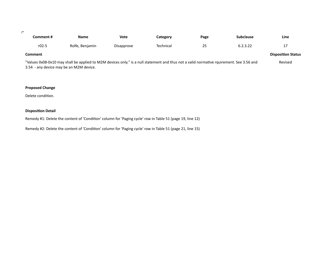| _ |  |  |
|---|--|--|
|   |  |  |

| Comment #                                                                                                                                | Name            | Vote       | Category  | Page | <b>Subclause</b> | Line |
|------------------------------------------------------------------------------------------------------------------------------------------|-----------------|------------|-----------|------|------------------|------|
| $r02-5$                                                                                                                                  | Rolfe, Benjamin | Disapprove | Technical | 25   | 6.2.3.22         | 17   |
| <b>Comment</b>                                                                                                                           |                 |            |           |      |                  |      |
| "Values 0x08-0x10 may shall be applied to M2M devices only." is a null statement and thus not a valid normative rquirement. See 3.56 and |                 |            |           |      |                  |      |

3.54 - any device may be an M2M device.

### **Proposed Change**

Delete condition.

#### **Disposition Detail**

Remedy #1: Delete the content of 'Condition' column for 'Paging cycle' row in Table 51 (page 19, line 12)

Remedy #2: Delete the content of 'Condition' column for 'Paging cycle' row in Table 51 (page 21, line 15)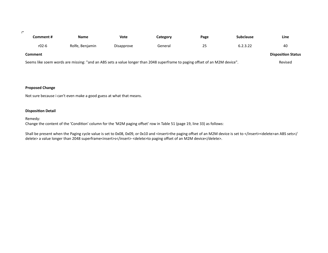$\mathcal{D}^{\mathcal{A}}$ 

| Comment #                                                                                                                   | <b>Name</b>     | Vote       | Category | Page | <b>Subclause</b> | Line |
|-----------------------------------------------------------------------------------------------------------------------------|-----------------|------------|----------|------|------------------|------|
| $r02-6$                                                                                                                     | Rolfe, Benjamin | Disapprove | General  | 25   | 6.2.3.22         | 40   |
| Comment                                                                                                                     |                 |            |          |      |                  |      |
| Seems like soem words are missing: "and an ABS sets a value longer than 2048 superframe to paging offset of an M2M device". |                 |            |          |      |                  |      |

#### **Proposed Change**

Not sure because i can't even make a good guess at what that means.

#### **Disposition Detail**

Remedy: 

Change the content of the 'Condition' column for the 'M2M paging offset' row in Table 51 (page 19, line 33) as follows:

Shall be present when the Paging cycle value is set to 0x08, 0x09, or 0x10 and <insert>the paging offset of an M2M device is set to </insert><delete>an ABS sets</ delete> a value longer than 2048 superframe<insert>s</insert><delete>to paging offset of an M2M device</delete>.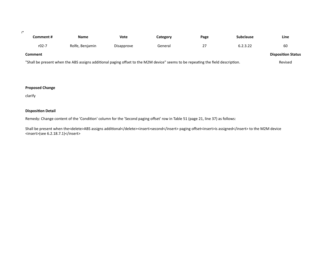#### $\mathcal{F}^{\mathcal{C}}$

| Comment #                                                                                                                       | Name            | Vote       | Category | Page | <b>Subclause</b> | Line    |
|---------------------------------------------------------------------------------------------------------------------------------|-----------------|------------|----------|------|------------------|---------|
| r02-7                                                                                                                           | Rolfe, Benjamin | Disapprove | General  | 27   | 6.2.3.22         | 60      |
| Comment                                                                                                                         |                 |            |          |      |                  |         |
| "Shall be present when the ABS assigns additional paging offset to the M2M device" seems to be repeating the field description. |                 |            |          |      |                  | Revised |

#### **Proposed Change**

clarify

#### **Disposition Detail**

Remedy: Change content of the 'Condition' column for the 'Second paging offset' row in Table 51 (page 21, line 37) as follows:

Shall be present when the<delete>ABS assigns additional</delete><insert>second</insert> paging offset<insert>is assigned</insert> to the M2M device <insert>(see 6.2.18.7.1)</insert>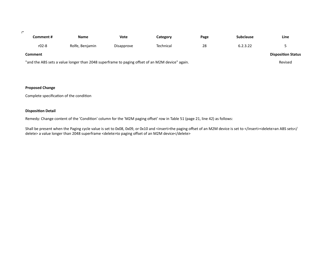$\mathcal{D}^{\mathcal{A}}$ 

| Comment #                                                                                       | <b>Name</b>     | Vote                      | Category  | Page | <b>Subclause</b> | Line |
|-------------------------------------------------------------------------------------------------|-----------------|---------------------------|-----------|------|------------------|------|
| $r02-8$                                                                                         | Rolfe, Benjamin | Disapprove                | Technical | 28   | 6.2.3.22         |      |
| <b>Comment</b>                                                                                  |                 | <b>Disposition Status</b> |           |      |                  |      |
| "and the ABS sets a value longer than 2048 superframe to paging offset of an M2M device" again. |                 |                           |           |      |                  |      |

#### **Proposed Change**

Complete specification of the condition

#### **Disposition Detail**

Remedy: Change content of the 'Condition' column for the 'M2M paging offset' row in Table 51 (page 21, line 42) as follows:

Shall be present when the Paging cycle value is set to 0x08, 0x09, or 0x10 and <insert>the paging offset of an M2M device is set to </insert><delete>an ABS sets</ delete> a value longer than 2048 superframe <delete>to paging offset of an M2M device</delete>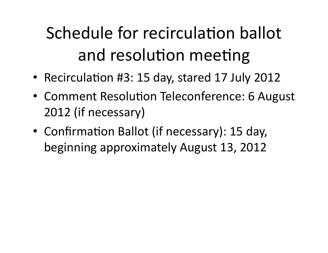# Schedule for recirculation ballot and resolution meeting

- Recirculation #3: 15 day, stared 17 July 2012
- Comment Resolution Teleconference: 6 August 2012 (if necessary)
- Confirmation Ballot (if necessary): 15 day, beginning approximately August 13, 2012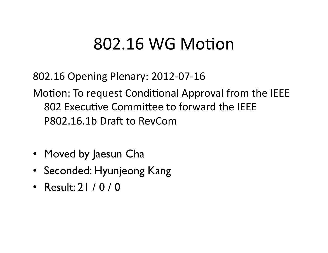## 802.16 WG Motion

802.16 Opening Plenary: 2012-07-16

Motion: To request Conditional Approval from the IEEE 802 Executive Committee to forward the IEEE P802.16.1b Draft to RevCom

- Moved by Jaesun Cha
- Seconded: Hyunjeong Kang
- Result: 21 / 0 / 0